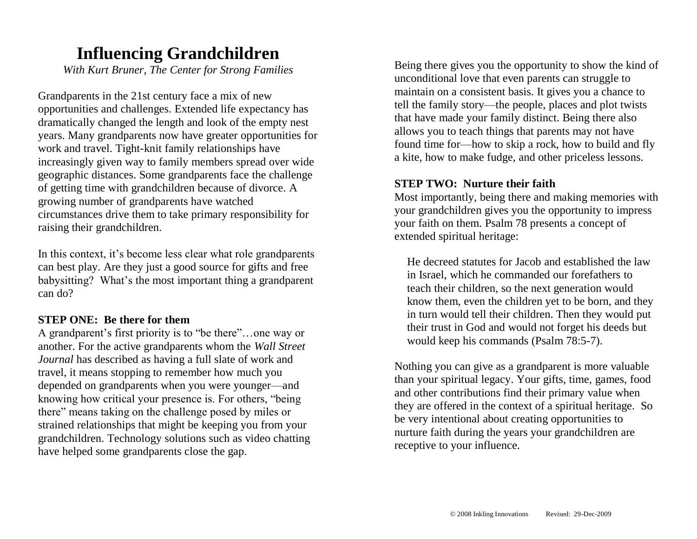## **Influencing Grandchildren**

*With Kurt Bruner, The Center for Strong Families*

Grandparents in the 21st century face a mix of new opportunities and challenges. Extended life expectancy has dramatically changed the length and look of the empty nest years. Many grandparents now have greater opportunities for work and travel. Tight-knit family relationships have increasingly given way to family members spread over wide geographic distances. Some grandparents face the challenge of getting time with grandchildren because of divorce. A growing number of grandparents have watched circumstances drive them to take primary responsibility for raising their grandchildren.

In this context, it's become less clear what role grandparents can best play. Are they just a good source for gifts and free babysitting? What's the most important thing a grandparent can do?

## **STEP ONE: Be there for them**

A grandparent's first priority is to "be there"…one way or another. For the active grandparents whom the *Wall Street Journal* has described as having a full slate of work and travel, it means stopping to remember how much you depended on grandparents when you were younger—and knowing how critical your presence is. For others, "being there" means taking on the challenge posed by miles or strained relationships that might be keeping you from your grandchildren. Technology solutions such as video chatting have helped some grandparents close the gap.

Being there gives you the opportunity to show the kind of unconditional love that even parents can struggle to maintain on a consistent basis. It gives you a chance to tell the family story—the people, places and plot twists that have made your family distinct. Being there also allows you to teach things that parents may not have found time for—how to skip a rock, how to build and fly a kite, how to make fudge, and other priceless lessons.

#### **STEP TWO: Nurture their faith**

Most importantly, being there and making memories with your grandchildren gives you the opportunity to impress your faith on them. Psalm 78 presents a concept of extended spiritual heritage:

He decreed statutes for Jacob and established the law in Israel, which he commanded our forefathers to teach their children, so the next generation would know them, even the children yet to be born, and they in turn would tell their children. Then they would put their trust in God and would not forget his deeds but would keep his commands (Psalm 78:5-7).

Nothing you can give as a grandparent is more valuable than your spiritual legacy. Your gifts, time, games, food and other contributions find their primary value when they are offered in the context of a spiritual heritage. So be very intentional about creating opportunities to nurture faith during the years your grandchildren are receptive to your influence.